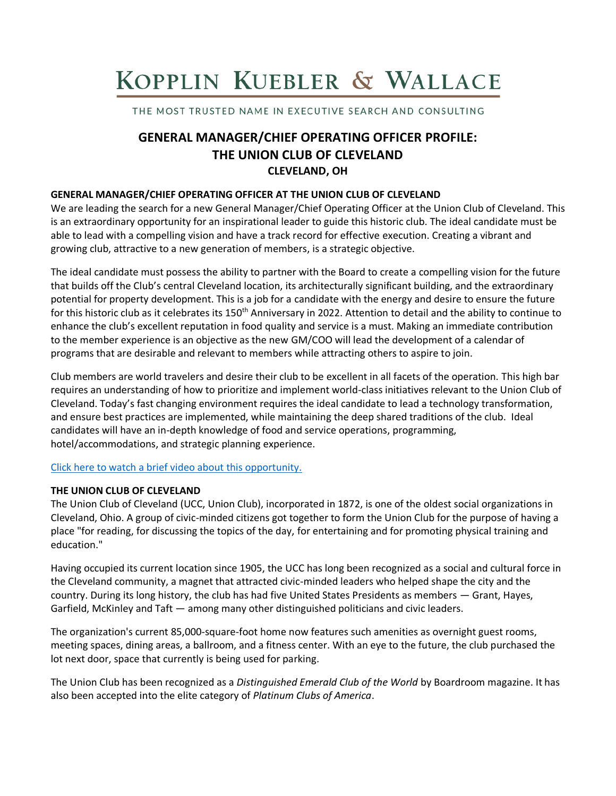# KOPPLIN KUEBLER & WALLACE

THE MOST TRUSTED NAME IN EXECUTIVE SEARCH AND CONSULTING

# **GENERAL MANAGER/CHIEF OPERATING OFFICER PROFILE: THE UNION CLUB OF CLEVELAND CLEVELAND, OH**

### **GENERAL MANAGER/CHIEF OPERATING OFFICER AT THE UNION CLUB OF CLEVELAND**

We are leading the search for a new General Manager/Chief Operating Officer at the Union Club of Cleveland. This is an extraordinary opportunity for an inspirational leader to guide this historic club. The ideal candidate must be able to lead with a compelling vision and have a track record for effective execution. Creating a vibrant and growing club, attractive to a new generation of members, is a strategic objective.

The ideal candidate must possess the ability to partner with the Board to create a compelling vision for the future that builds off the Club's central Cleveland location, its architecturally significant building, and the extraordinary potential for property development. This is a job for a candidate with the energy and desire to ensure the future for this historic club as it celebrates its 150<sup>th</sup> Anniversary in 2022. Attention to detail and the ability to continue to enhance the club's excellent reputation in food quality and service is a must. Making an immediate contribution to the member experience is an objective as the new GM/COO will lead the development of a calendar of programs that are desirable and relevant to members while attracting others to aspire to join.

Club members are world travelers and desire their club to be excellent in all facets of the operation. This high bar requires an understanding of how to prioritize and implement world-class initiatives relevant to the Union Club of Cleveland. Today's fast changing environment requires the ideal candidate to lead a technology transformation, and ensure best practices are implemented, while maintaining the deep shared traditions of the club. Ideal candidates will have an in-depth knowledge of food and service operations, programming, hotel/accommodations, and strategic planning experience.

#### [Click here to watch a brief video about this opportunity.](https://www.youtube.com/watch?v=27yJAOkoMZE)

#### **THE UNION CLUB OF CLEVELAND**

The Union Club of Cleveland (UCC, Union Club), incorporated in 1872, is one of the oldest social organizations in Cleveland, Ohio. A group of civic-minded citizens got together to form the Union Club for the purpose of having a place "for reading, for discussing the topics of the day, for entertaining and for promoting physical training and education."

Having occupied its current location since 1905, the UCC has long been recognized as a social and cultural force in the Cleveland community, a magnet that attracted civic-minded leaders who helped shape the city and the country. During its long history, the club has had five United States Presidents as members — Grant, Hayes, Garfield, McKinley and Taft — among many other distinguished politicians and civic leaders.

The organization's current 85,000-square-foot home now features such amenities as overnight guest rooms, meeting spaces, dining areas, a ballroom, and a fitness center. With an eye to the future, the club purchased the lot next door, space that currently is being used for parking.

The Union Club has been recognized as a *Distinguished Emerald Club of the World* by Boardroom magazine. It has also been accepted into the elite category of *Platinum Clubs of America*.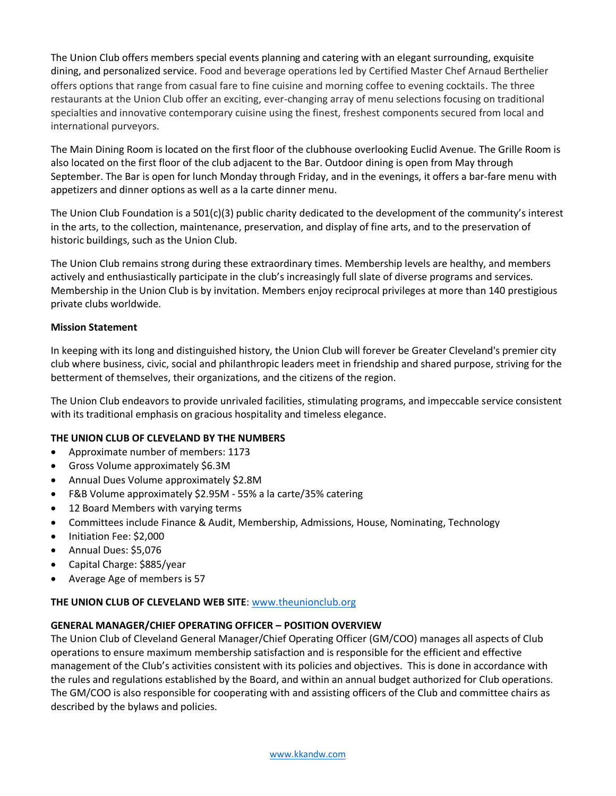The Union Club offers members special events planning and catering with an elegant surrounding, exquisite dining, and personalized service. Food and beverage operations led by Certified Master Chef Arnaud Berthelier offers options that range from casual fare to fine cuisine and morning coffee to evening cocktails. The three restaurants at the Union Club offer an exciting, ever-changing array of menu selections focusing on traditional specialties and innovative contemporary cuisine using the finest, freshest components secured from local and international purveyors.

The Main Dining Room is located on the first floor of the clubhouse overlooking Euclid Avenue. The Grille Room is also located on the first floor of the club adjacent to the Bar. Outdoor dining is open from May through September. The Bar is open for lunch Monday through Friday, and in the evenings, it offers a bar-fare menu with appetizers and dinner options as well as a la carte dinner menu.

The Union Club Foundation is a 501(c)(3) public charity dedicated to the development of the community's interest in the arts, to the collection, maintenance, preservation, and display of fine arts, and to the preservation of historic buildings, such as the Union Club.

The Union Club remains strong during these extraordinary times. Membership levels are healthy, and members actively and enthusiastically participate in the club's increasingly full slate of diverse programs and services. Membership in the Union Club is by invitation. Members enjoy reciprocal privileges at more than 140 prestigious private clubs worldwide.

#### **Mission Statement**

In keeping with its long and distinguished history, the Union Club will forever be Greater Cleveland's premier city club where business, civic, social and philanthropic leaders meet in friendship and shared purpose, striving for the betterment of themselves, their organizations, and the citizens of the region.

The Union Club endeavors to provide unrivaled facilities, stimulating programs, and impeccable service consistent with its traditional emphasis on gracious hospitality and timeless elegance.

#### **THE UNION CLUB OF CLEVELAND BY THE NUMBERS**

- Approximate number of members: 1173
- Gross Volume approximately \$6.3M
- Annual Dues Volume approximately \$2.8M
- F&B Volume approximately \$2.95M 55% a la carte/35% catering
- 12 Board Members with varying terms
- Committees include Finance & Audit, Membership, Admissions, House, Nominating, Technology
- Initiation Fee: \$2,000
- Annual Dues: \$5,076
- Capital Charge: \$885/year
- Average Age of members is 57

#### **THE UNION CLUB OF CLEVELAND WEB SITE**: [www.theunionclub.org](http://www.theunionclub.org/)

#### **GENERAL MANAGER/CHIEF OPERATING OFFICER – POSITION OVERVIEW**

The Union Club of Cleveland General Manager/Chief Operating Officer (GM/COO) manages all aspects of Club operations to ensure maximum membership satisfaction and is responsible for the efficient and effective management of the Club's activities consistent with its policies and objectives. This is done in accordance with the rules and regulations established by the Board, and within an annual budget authorized for Club operations. The GM/COO is also responsible for cooperating with and assisting officers of the Club and committee chairs as described by the bylaws and policies.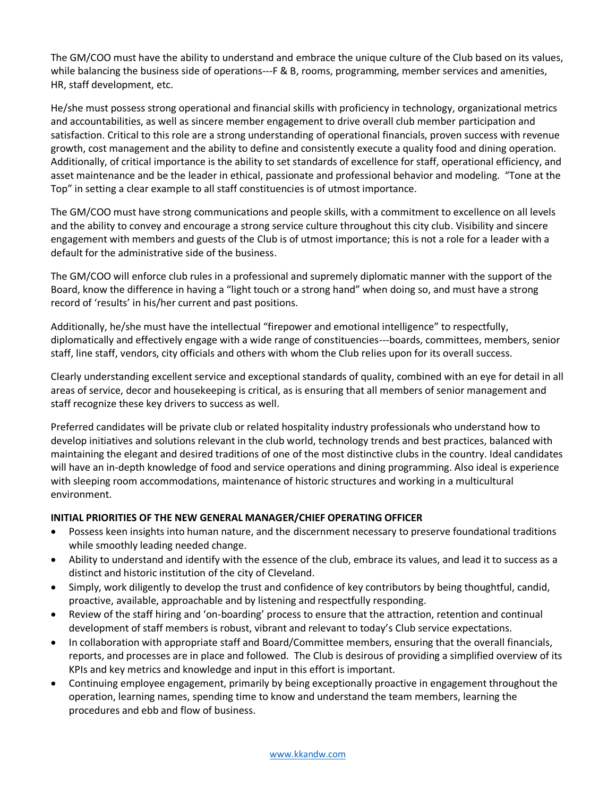The GM/COO must have the ability to understand and embrace the unique culture of the Club based on its values, while balancing the business side of operations---F & B, rooms, programming, member services and amenities, HR, staff development, etc.

He/she must possess strong operational and financial skills with proficiency in technology, organizational metrics and accountabilities, as well as sincere member engagement to drive overall club member participation and satisfaction. Critical to this role are a strong understanding of operational financials, proven success with revenue growth, cost management and the ability to define and consistently execute a quality food and dining operation. Additionally, of critical importance is the ability to set standards of excellence for staff, operational efficiency, and asset maintenance and be the leader in ethical, passionate and professional behavior and modeling. "Tone at the Top" in setting a clear example to all staff constituencies is of utmost importance.

The GM/COO must have strong communications and people skills, with a commitment to excellence on all levels and the ability to convey and encourage a strong service culture throughout this city club. Visibility and sincere engagement with members and guests of the Club is of utmost importance; this is not a role for a leader with a default for the administrative side of the business.

The GM/COO will enforce club rules in a professional and supremely diplomatic manner with the support of the Board, know the difference in having a "light touch or a strong hand" when doing so, and must have a strong record of 'results' in his/her current and past positions.

Additionally, he/she must have the intellectual "firepower and emotional intelligence" to respectfully, diplomatically and effectively engage with a wide range of constituencies---boards, committees, members, senior staff, line staff, vendors, city officials and others with whom the Club relies upon for its overall success.

Clearly understanding excellent service and exceptional standards of quality, combined with an eye for detail in all areas of service, decor and housekeeping is critical, as is ensuring that all members of senior management and staff recognize these key drivers to success as well.

Preferred candidates will be private club or related hospitality industry professionals who understand how to develop initiatives and solutions relevant in the club world, technology trends and best practices, balanced with maintaining the elegant and desired traditions of one of the most distinctive clubs in the country. Ideal candidates will have an in-depth knowledge of food and service operations and dining programming. Also ideal is experience with sleeping room accommodations, maintenance of historic structures and working in a multicultural environment.

# **INITIAL PRIORITIES OF THE NEW GENERAL MANAGER/CHIEF OPERATING OFFICER**

- Possess keen insights into human nature, and the discernment necessary to preserve foundational traditions while smoothly leading needed change.
- Ability to understand and identify with the essence of the club, embrace its values, and lead it to success as a distinct and historic institution of the city of Cleveland.
- Simply, work diligently to develop the trust and confidence of key contributors by being thoughtful, candid, proactive, available, approachable and by listening and respectfully responding.
- Review of the staff hiring and 'on-boarding' process to ensure that the attraction, retention and continual development of staff members is robust, vibrant and relevant to today's Club service expectations.
- In collaboration with appropriate staff and Board/Committee members, ensuring that the overall financials, reports, and processes are in place and followed. The Club is desirous of providing a simplified overview of its KPIs and key metrics and knowledge and input in this effort is important.
- Continuing employee engagement, primarily by being exceptionally proactive in engagement throughout the operation, learning names, spending time to know and understand the team members, learning the procedures and ebb and flow of business.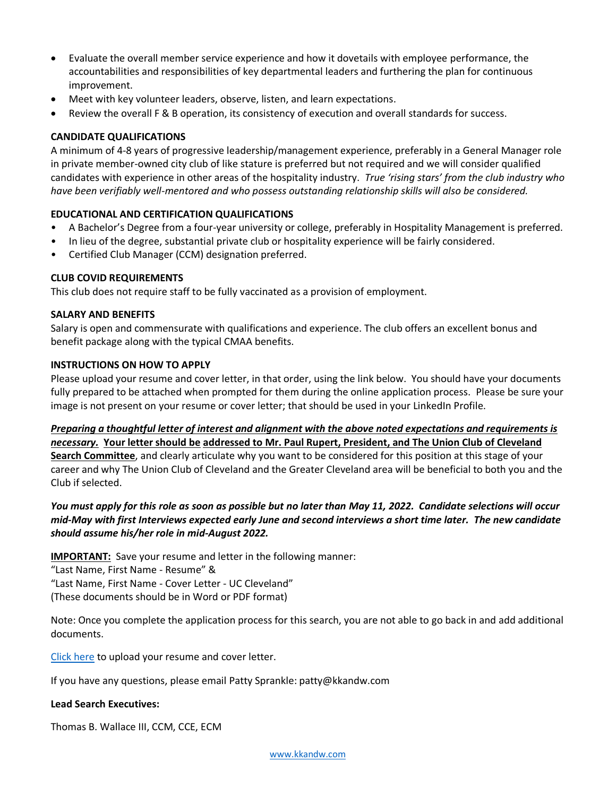- Evaluate the overall member service experience and how it dovetails with employee performance, the accountabilities and responsibilities of key departmental leaders and furthering the plan for continuous improvement.
- Meet with key volunteer leaders, observe, listen, and learn expectations.
- Review the overall F & B operation, its consistency of execution and overall standards for success.

#### **CANDIDATE QUALIFICATIONS**

A minimum of 4-8 years of progressive leadership/management experience, preferably in a General Manager role in private member-owned city club of like stature is preferred but not required and we will consider qualified candidates with experience in other areas of the hospitality industry. *True 'rising stars' from the club industry who have been verifiably well-mentored and who possess outstanding relationship skills will also be considered.*

#### **EDUCATIONAL AND CERTIFICATION QUALIFICATIONS**

- A Bachelor's Degree from a four-year university or college, preferably in Hospitality Management is preferred.
- In lieu of the degree, substantial private club or hospitality experience will be fairly considered.
- Certified Club Manager (CCM) designation preferred.

#### **CLUB COVID REQUIREMENTS**

This club does not require staff to be fully vaccinated as a provision of employment.

#### **SALARY AND BENEFITS**

Salary is open and commensurate with qualifications and experience. The club offers an excellent bonus and benefit package along with the typical CMAA benefits.

# **INSTRUCTIONS ON HOW TO APPLY**

Please upload your resume and cover letter, in that order, using the link below. You should have your documents fully prepared to be attached when prompted for them during the online application process. Please be sure your image is not present on your resume or cover letter; that should be used in your LinkedIn Profile.

*Preparing a thoughtful letter of interest and alignment with the above noted expectations and requirements is necessary.* **Your letter should be addressed to Mr. Paul Rupert, President, and The Union Club of Cleveland Search Committee**, and clearly articulate why you want to be considered for this position at this stage of your career and why The Union Club of Cleveland and the Greater Cleveland area will be beneficial to both you and the Club if selected.

*You must apply for this role as soon as possible but no later than May 11, 2022. Candidate selections will occur mid-May with first Interviews expected early June and second interviews a short time later. The new candidate should assume his/her role in mid-August 2022.* 

**IMPORTANT:** Save your resume and letter in the following manner:

"Last Name, First Name - Resume" &

"Last Name, First Name - Cover Letter - UC Cleveland"

(These documents should be in Word or PDF format)

Note: Once you complete the application process for this search, you are not able to go back in and add additional documents.

[Click here](https://kopplinandkuebler.secure.force.com/careers/ts2__Register?jobId=a0x6T000009y99RQAQ&tSource=) to upload your resume and cover letter.

If you have any questions, please email Patty Sprankle: patty@kkandw.com

#### **Lead Search Executives:**

Thomas B. Wallace III, CCM, CCE, ECM